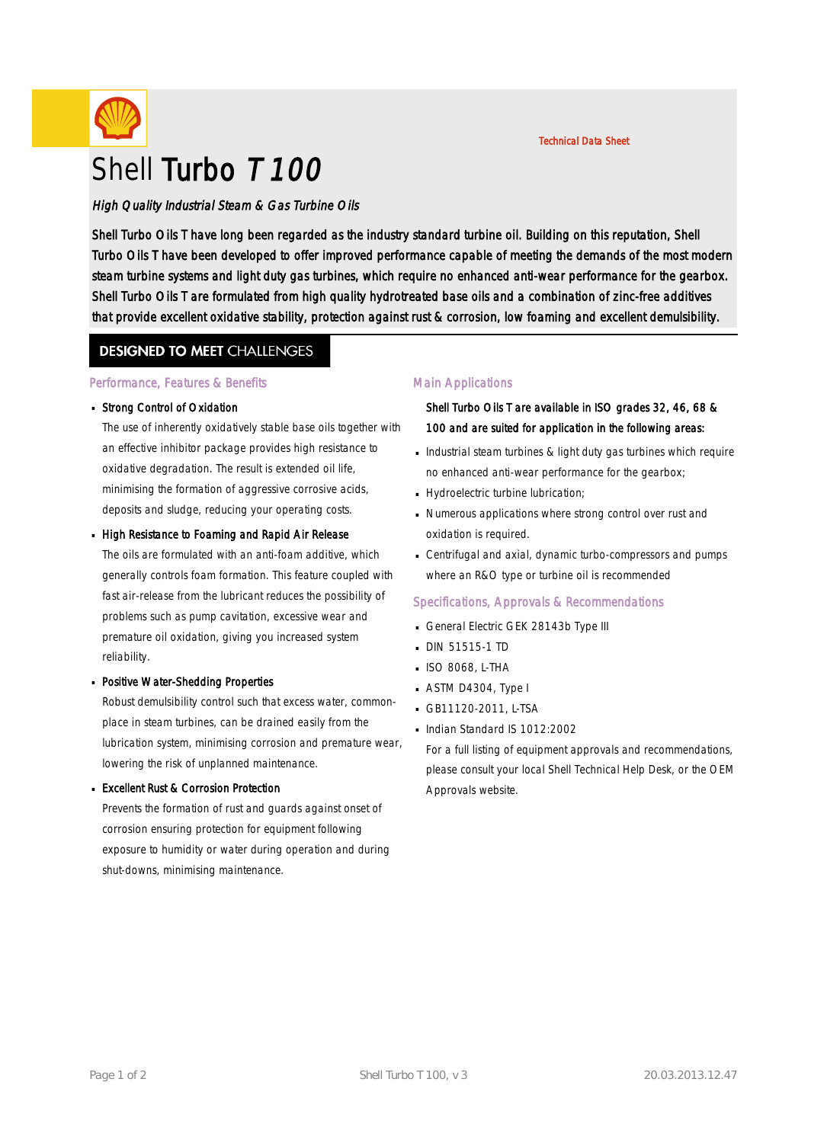

Shell Turbo Oils T have long been regarded as the industry standard turbine oil. Building on this reputation, Shell Turbo Oils T have been developed to offer improved performance capable of meeting the demands of the most modern steam turbine systems and light duty gas turbines, which require no enhanced anti-wear performance for the gearbox. Shell Turbo Oils T are formulated from high quality hydrotreated base oils and a combination of zinc-free additives that provide excellent oxidative stability, protection against rust & corrosion, low foaming and excellent demulsibility.

# **DESIGNED TO MEET CHALLENGES**

### Performance, Features & Benefits

### Strong Control of Oxidation ·

The use of inherently oxidatively stable base oils together with an effective inhibitor package provides high resistance to oxidative degradation. The result is extended oil life, minimising the formation of aggressive corrosive acids, deposits and sludge, reducing your operating costs.

### High Resistance to Foaming and Rapid Air Release

The oils are formulated with an anti-foam additive, which generally controls foam formation. This feature coupled with fast air-release from the lubricant reduces the possibility of problems such as pump cavitation, excessive wear and premature oil oxidation, giving you increased system reliability.

## Positive Water-Shedding Properties ·

Robust demulsibility control such that excess water, commonplace in steam turbines, can be drained easily from the lubrication system, minimising corrosion and premature wear, lowering the risk of unplanned maintenance.

#### **Excellent Rust & Corrosion Protection**

Prevents the formation of rust and guards against onset of corrosion ensuring protection for equipment following exposure to humidity or water during operation and during shut-downs, minimising maintenance.

## Main Applications

# Shell Turbo Oils T are available in ISO grades 32, 46, 68 & 100 and are suited for application in the following areas:

Technical Data Sheet

- $\blacksquare$  Industrial steam turbines & light duty gas turbines which require no enhanced anti-wear performance for the gearbox;
- Hydroelectric turbine lubrication;
- Numerous applications where strong control over rust and · oxidation is required.
- Centrifugal and axial, dynamic turbo-compressors and pumps where an R&O type or turbine oil is recommended

#### Specifications, Approvals & Recommendations

- General Electric GEK 28143b Type III
- DIN 51515-1 TD
- ISO 8068, L-THA ·
- $\blacksquare$  ASTM D4304, Type I
- GB11120-2011, L-TSA ·
- Indian Standard IS 1012:2002

For a full listing of equipment approvals and recommendations, please consult your local Shell Technical Help Desk, or the OEM Approvals website.